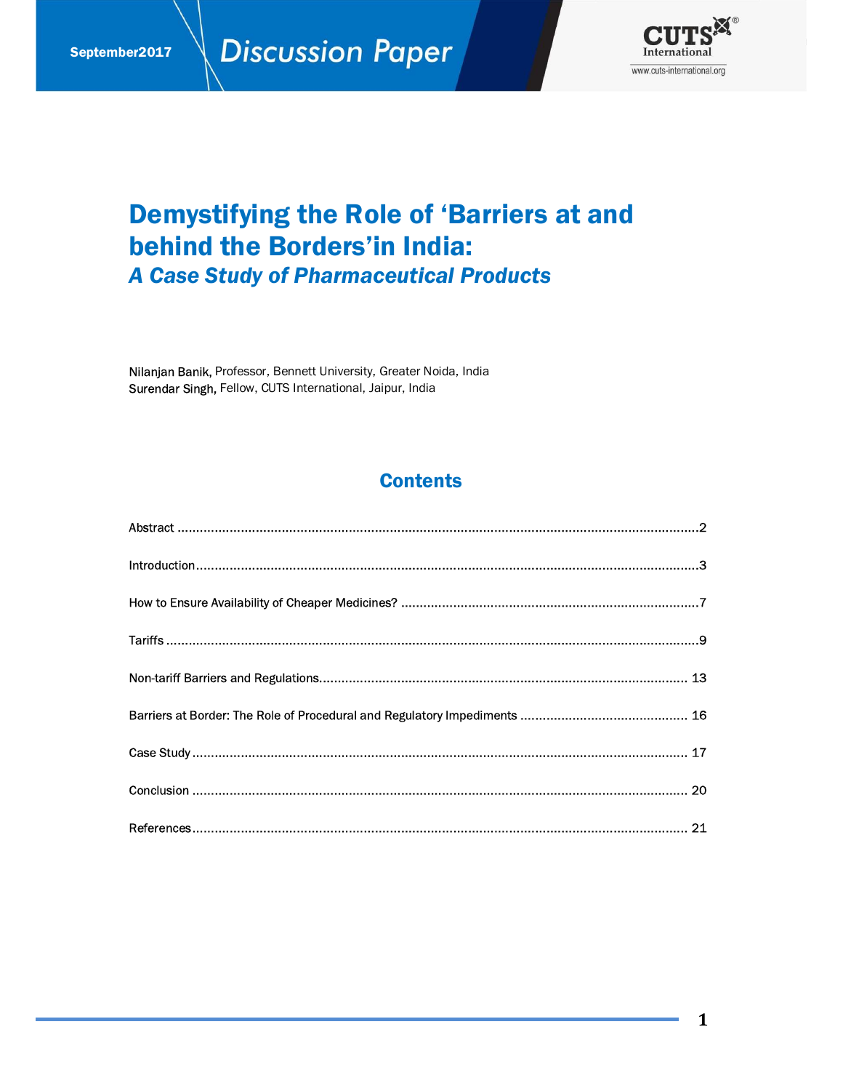

# **Demystifying the Role of 'Barriers at and behind the Borders'in India: A Case Study of Pharmaceutical Products**

Nilanjan Banik, Professor, Bennett University, Greater Noida, India Surendar Singh, Fellow, CUTS International, Jaipur, India

### **Contents**

 $\mathbf{1}$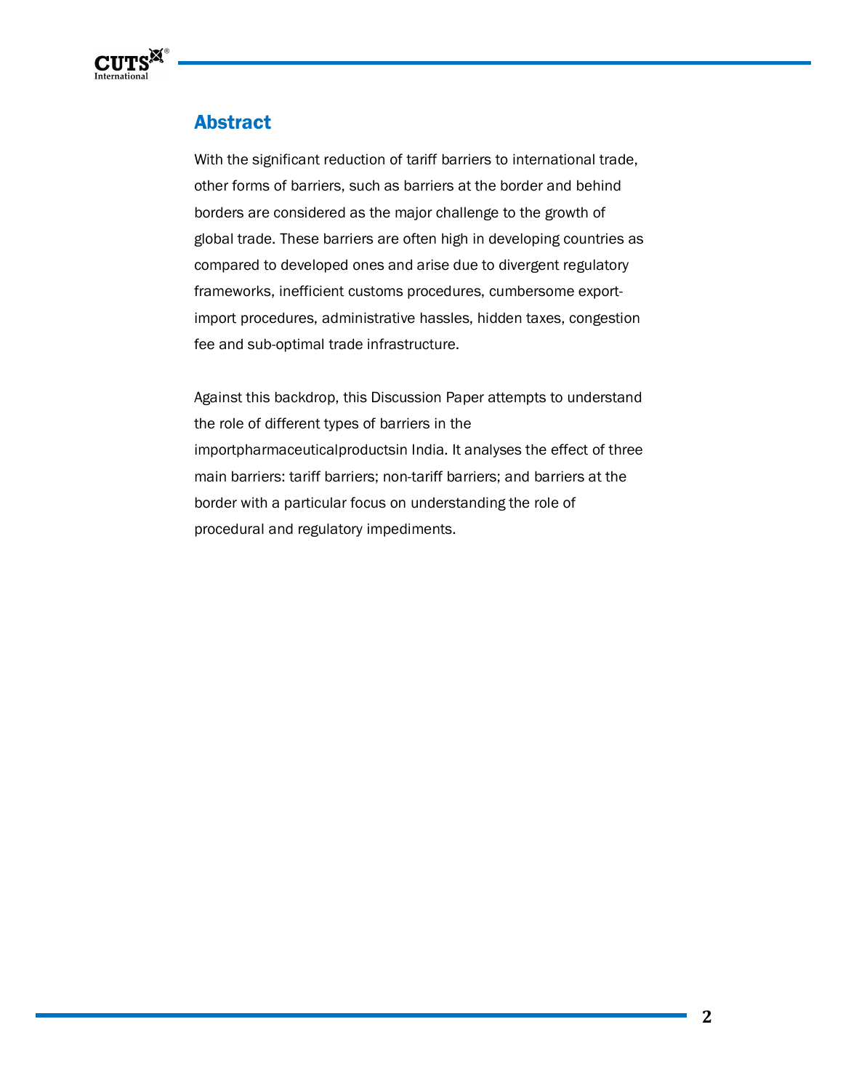

## **Abstract**

With the significant reduction of tariff barriers to international trade, other forms of barriers, such as barriers at the border and behind borders are considered as the major challenge to the growth of global trade. These barriers are often high in developing countries as compared to developed ones and arise due to divergent regulatory frameworks, inefficient customs procedures, cumbersome exportimport procedures, administrative hassles, hidden taxes, congestion fee and sub-optimal trade infrastructure.

Against this backdrop, this Discussion Paper attempts to understand the role of different types of barriers in the importpharmaceuticalproductsin India. It analyses the effect of three main barriers: tariff barriers; non-tariff barriers; and barriers at the border with a particular focus on understanding the role of procedural and regulatory impediments.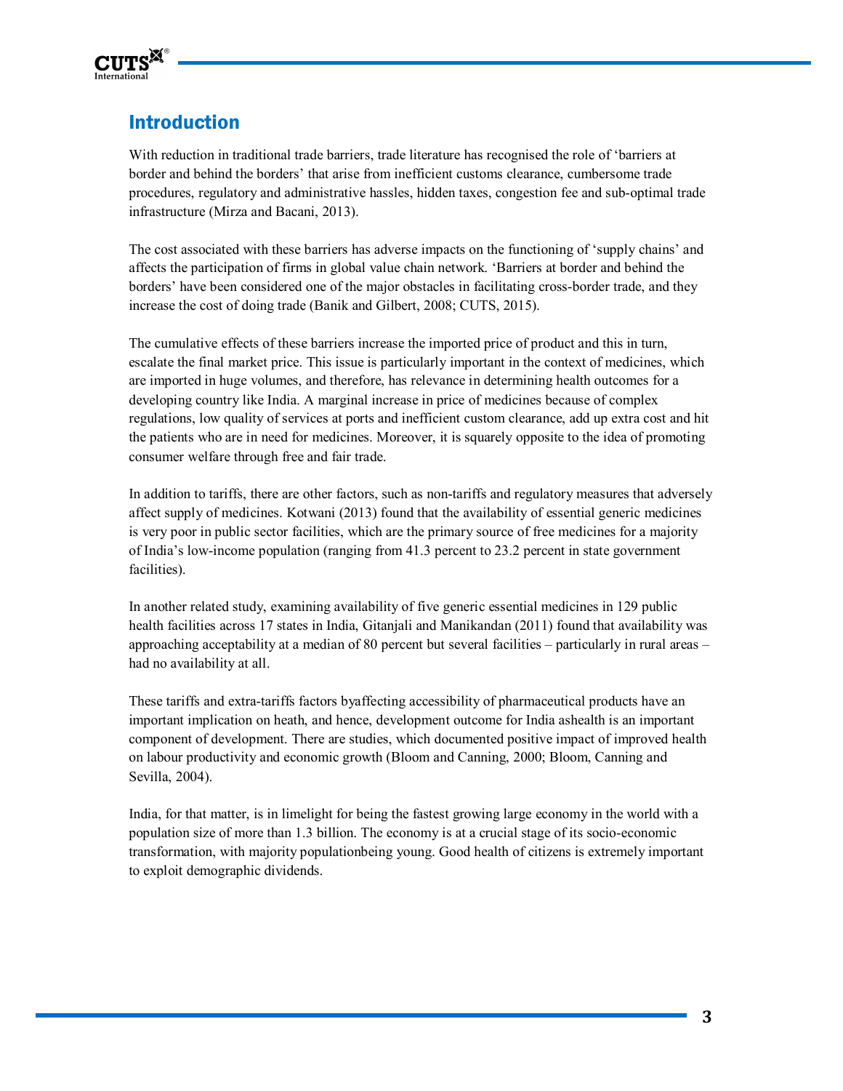

# Introduction

With reduction in traditional trade barriers, trade literature has recognised the role of 'barriers at border and behind the borders' that arise from inefficient customs clearance, cumbersome trade procedures, regulatory and administrative hassles, hidden taxes, congestion fee and sub-optimal trade infrastructure (Mirza and Bacani, 2013).

The cost associated with these barriers has adverse impacts on the functioning of 'supply chains' and affects the participation of firms in global value chain network. 'Barriers at border and behind the borders' have been considered one of the major obstacles in facilitating cross-border trade, and they increase the cost of doing trade (Banik and Gilbert, 2008; CUTS, 2015).

The cumulative effects of these barriers increase the imported price of product and this in turn, escalate the final market price. This issue is particularly important in the context of medicines, which are imported in huge volumes, and therefore, has relevance in determining health outcomes for a developing country like India. A marginal increase in price of medicines because of complex regulations, low quality of services at ports and inefficient custom clearance, add up extra cost and hit the patients who are in need for medicines. Moreover, it is squarely opposite to the idea of promoting consumer welfare through free and fair trade.

In addition to tariffs, there are other factors, such as non-tariffs and regulatory measures that adversely affect supply of medicines. Kotwani (2013) found that the availability of essential generic medicines is very poor in public sector facilities, which are the primary source of free medicines for a majority of India's low-income population (ranging from 41.3 percent to 23.2 percent in state government facilities).

In another related study, examining availability of five generic essential medicines in 129 public health facilities across 17 states in India, Gitanjali and Manikandan (2011) found that availability was approaching acceptability at a median of 80 percent but several facilities – particularly in rural areas – had no availability at all.

These tariffs and extra-tariffs factors byaffecting accessibility of pharmaceutical products have an important implication on heath, and hence, development outcome for India ashealth is an important component of development. There are studies, which documented positive impact of improved health on labour productivity and economic growth (Bloom and Canning, 2000; Bloom, Canning and Sevilla, 2004).

India, for that matter, is in limelight for being the fastest growing large economy in the world with a population size of more than 1.3 billion. The economy is at a crucial stage of its socio-economic transformation, with majority populationbeing young. Good health of citizens is extremely important to exploit demographic dividends.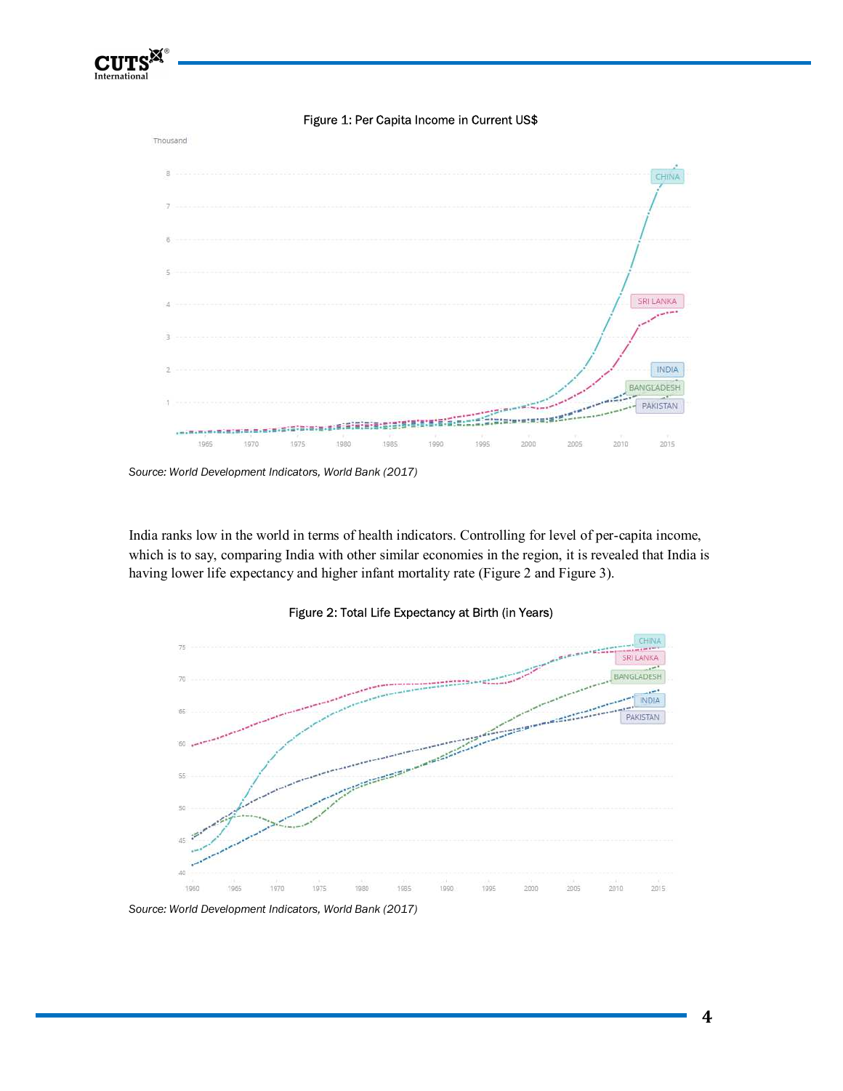

Figure 1: Per Capita Income in Current US\$



India ranks low in the world in terms of health indicators. Controlling for level of per-capita income, which is to say, comparing India with other similar economies in the region, it is revealed that India is having lower life expectancy and higher infant mortality rate (Figure 2 and Figure 3).



Figure 2: Total Life Expectancy at Birth (in Years)

*Source: World Development Indicators, World Bank (2017)*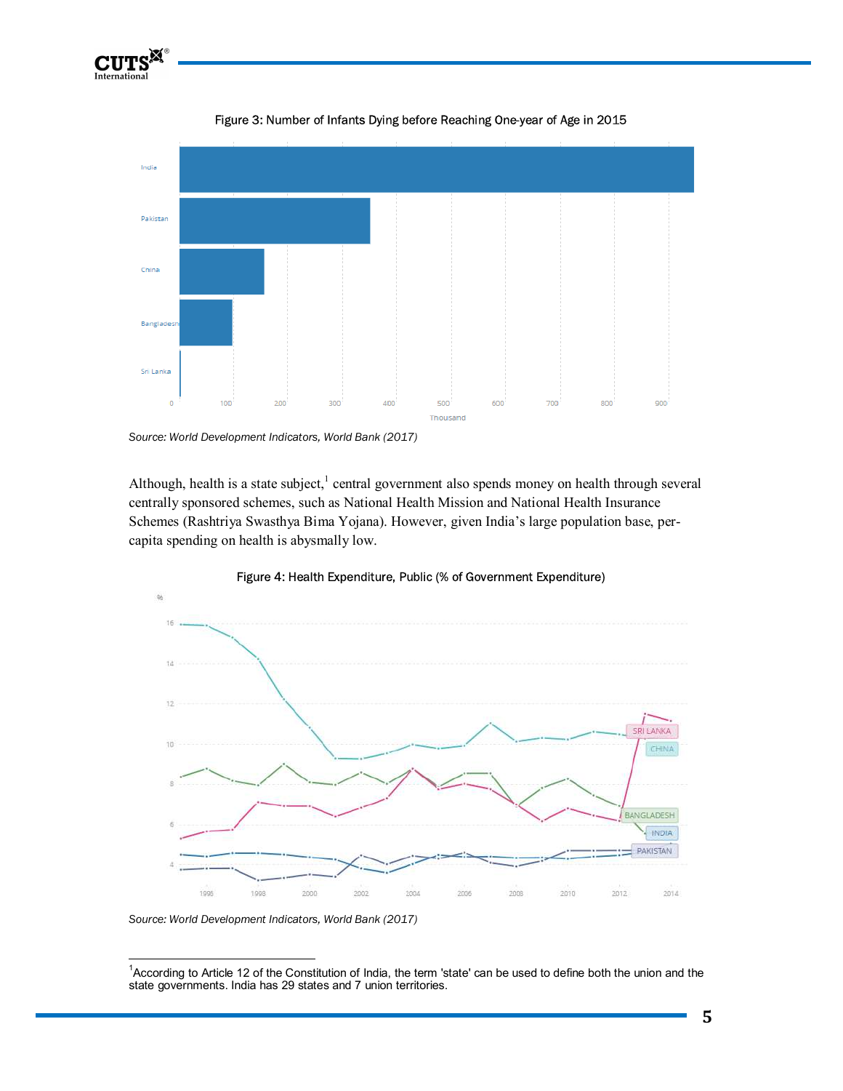





Source: World Development Indicators, World Bank (2017)

Although, health is a state subject,<sup>1</sup> central government also spends money on health through several centrally sponsored schemes, such as National Health Mission and National Health Insurance Schemes (Rashtriya Swasthya Bima Yojana). However, given India's large population base, percapita spending on health is abysmally low.



#### Figure 4: Health Expenditure, Public (% of Government Expenditure)

*Source: World Development Indicators, World Bank (2017)* 

1

<sup>1</sup> According to Article 12 of the Constitution of India, the term 'state' can be used to define both the union and the state governments. India has 29 states and 7 union territories.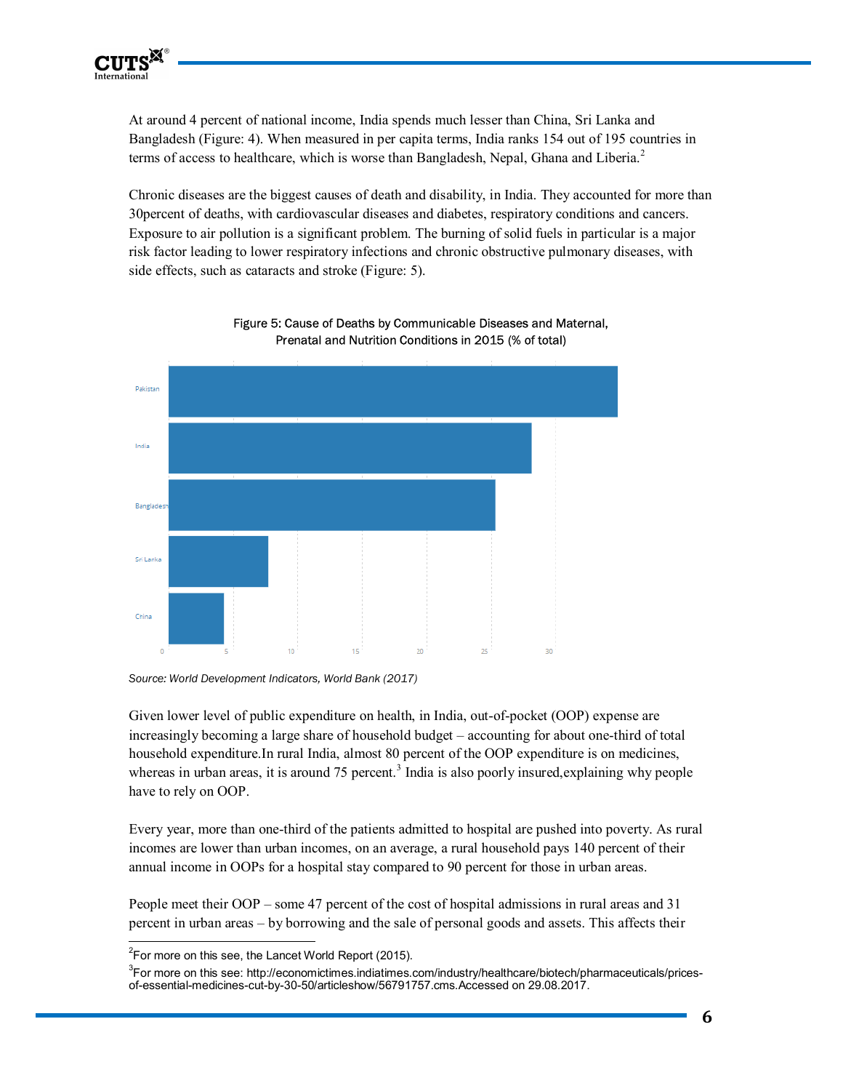

At around 4 percent of national income, India spends much lesser than China, Sri Lanka and Bangladesh (Figure: 4). When measured in per capita terms, India ranks 154 out of 195 countries in terms of access to healthcare, which is worse than Bangladesh, Nepal, Ghana and Liberia. $2$ 

Chronic diseases are the biggest causes of death and disability, in India. They accounted for more than 30percent of deaths, with cardiovascular diseases and diabetes, respiratory conditions and cancers. Exposure to air pollution is a significant problem. The burning of solid fuels in particular is a major risk factor leading to lower respiratory infections and chronic obstructive pulmonary diseases, with side effects, such as cataracts and stroke (Figure: 5).



Figure 5: Cause of Deaths by Communicable Diseases and Maternal, Prenatal and Nutrition Conditions in 2015 (% of total)

Given lower level of public expenditure on health, in India, out-of-pocket (OOP) expense are increasingly becoming a large share of household budget – accounting for about one-third of total household expenditure.In rural India, almost 80 percent of the OOP expenditure is on medicines, whereas in urban areas, it is around  $75$  percent.<sup>3</sup> India is also poorly insured, explaining why people have to rely on OOP.

Every year, more than one-third of the patients admitted to hospital are pushed into poverty. As rural incomes are lower than urban incomes, on an average, a rural household pays 140 percent of their annual income in OOPs for a hospital stay compared to 90 percent for those in urban areas.

People meet their OOP – some 47 percent of the cost of hospital admissions in rural areas and 31 percent in urban areas – by borrowing and the sale of personal goods and assets. This affects their

 $\overline{a}$ 

*Source: World Development Indicators, World Bank (2017)* 

 $2$ For more on this see, the Lancet World Report (2015).

<sup>3</sup> For more on this see: http://economictimes.indiatimes.com/industry/healthcare/biotech/pharmaceuticals/pricesof-essential-medicines-cut-by-30-50/articleshow/56791757.cms.Accessed on 29.08.2017.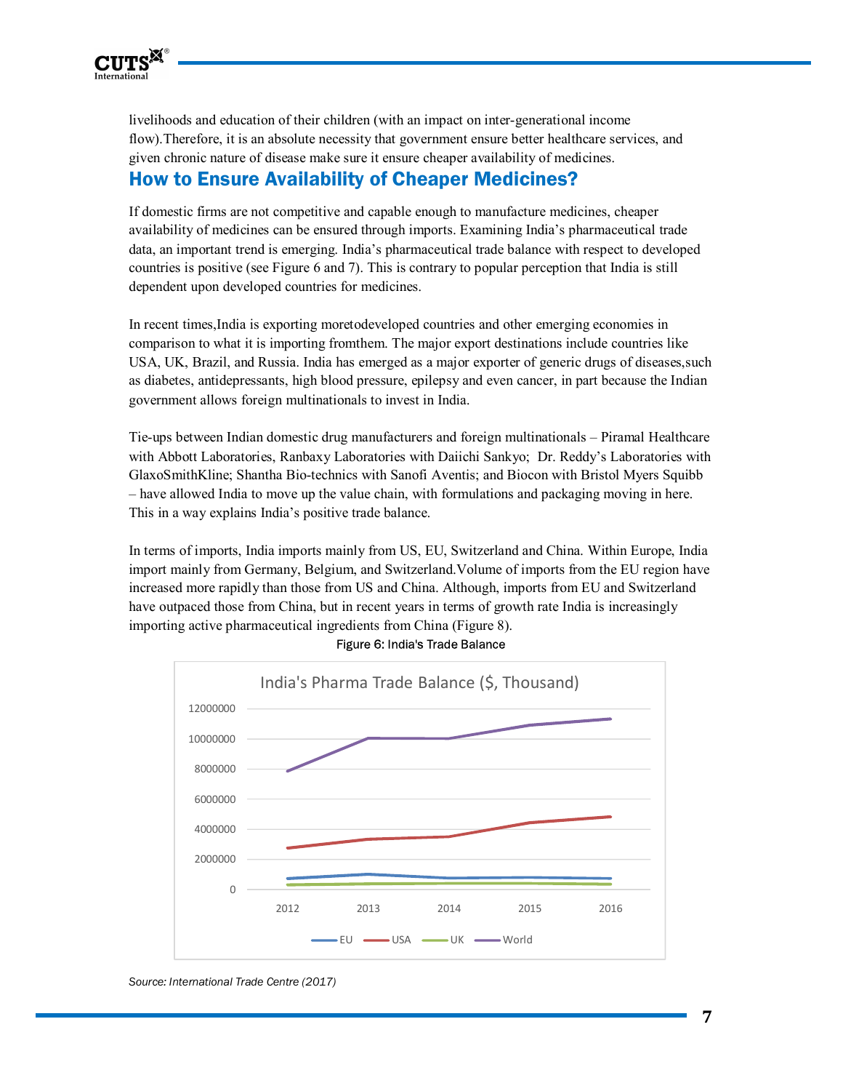

livelihoods and education of their children (with an impact on inter-generational income flow). Therefore, it is an absolute necessity that government ensure better healthcare services, and given chronic nature of disease make sure it ensure cheaper availability of medicines.

### How to Ensure Availability of Cheaper Medicines?

If domestic firms are not competitive and capable enough to manufacture medicines, cheaper availability of medicines can be ensured through imports. Examining India's pharmaceutical trade data, an important trend is emerging. India's pharmaceutical trade balance with respect to developed countries is positive (see Figure 6 and 7). This is contrary to popular perception that India is still dependent upon developed countries for medicines.

In recent times,India is exporting moretodeveloped countries and other emerging economies in comparison to what it is importing fromthem. The major export destinations include countries like USA, UK, Brazil, and Russia. India has emerged as a major exporter of generic drugs of diseases,such as diabetes, antidepressants, high blood pressure, epilepsy and even cancer, in part because the Indian government allows foreign multinationals to invest in India.

Tie-ups between Indian domestic drug manufacturers and foreign multinationals – Piramal Healthcare with Abbott Laboratories, Ranbaxy Laboratories with Daiichi Sankyo; Dr. Reddy's Laboratories with GlaxoSmithKline; Shantha Bio-technics with Sanofi Aventis; and Biocon with Bristol Myers Squibb – have allowed India to move up the value chain, with formulations and packaging moving in here. This in a way explains India's positive trade balance.

In terms of imports, India imports mainly from US, EU, Switzerland and China. Within Europe, India import mainly from Germany, Belgium, and Switzerland.Volume of imports from the EU region have increased more rapidly than those from US and China. Although, imports from EU and Switzerland have outpaced those from China, but in recent years in terms of growth rate India is increasingly importing active pharmaceutical ingredients from China (Figure 8).



Figure 6: India's Trade Balance

*Source: International Trade Centre (2017)*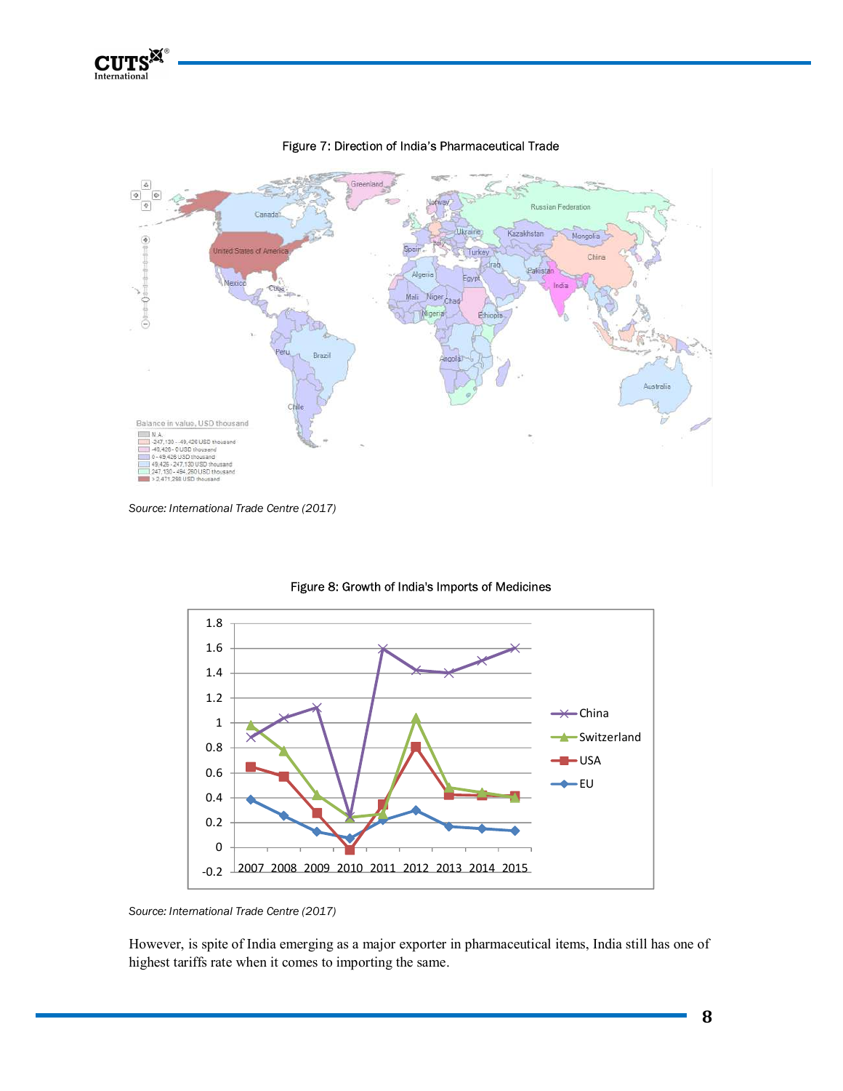



#### Figure 7: Direction of India's Pharmaceutical Trade

*Source: International Trade Centre (2017)* 



#### Figure 8: Growth of India's Imports of Medicines

However, is spite of India emerging as a major exporter in pharmaceutical items, India still has one of highest tariffs rate when it comes to importing the same.

*Source: International Trade Centre (2017)*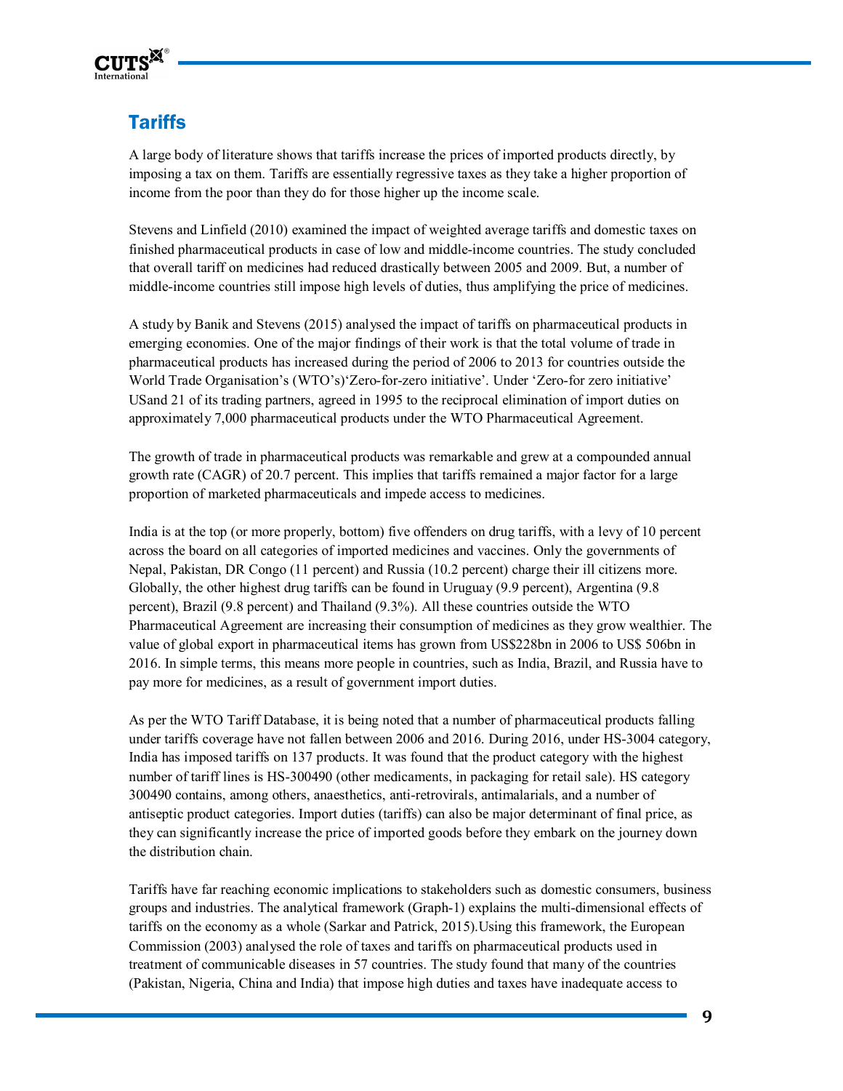

# **Tariffs**

A large body of literature shows that tariffs increase the prices of imported products directly, by imposing a tax on them. Tariffs are essentially regressive taxes as they take a higher proportion of income from the poor than they do for those higher up the income scale.

Stevens and Linfield (2010) examined the impact of weighted average tariffs and domestic taxes on finished pharmaceutical products in case of low and middle-income countries. The study concluded that overall tariff on medicines had reduced drastically between 2005 and 2009. But, a number of middle-income countries still impose high levels of duties, thus amplifying the price of medicines.

A study by Banik and Stevens (2015) analysed the impact of tariffs on pharmaceutical products in emerging economies. One of the major findings of their work is that the total volume of trade in pharmaceutical products has increased during the period of 2006 to 2013 for countries outside the World Trade Organisation's (WTO's)'Zero-for-zero initiative'. Under 'Zero-for zero initiative' USand 21 of its trading partners, agreed in 1995 to the reciprocal elimination of import duties on approximately 7,000 pharmaceutical products under the WTO Pharmaceutical Agreement.

The growth of trade in pharmaceutical products was remarkable and grew at a compounded annual growth rate (CAGR) of 20.7 percent. This implies that tariffs remained a major factor for a large proportion of marketed pharmaceuticals and impede access to medicines.

India is at the top (or more properly, bottom) five offenders on drug tariffs, with a levy of 10 percent across the board on all categories of imported medicines and vaccines. Only the governments of Nepal, Pakistan, DR Congo (11 percent) and Russia (10.2 percent) charge their ill citizens more. Globally, the other highest drug tariffs can be found in Uruguay (9.9 percent), Argentina (9.8 percent), Brazil (9.8 percent) and Thailand (9.3%). All these countries outside the WTO Pharmaceutical Agreement are increasing their consumption of medicines as they grow wealthier. The value of global export in pharmaceutical items has grown from US\$228bn in 2006 to US\$ 506bn in 2016. In simple terms, this means more people in countries, such as India, Brazil, and Russia have to pay more for medicines, as a result of government import duties.

As per the WTO Tariff Database, it is being noted that a number of pharmaceutical products falling under tariffs coverage have not fallen between 2006 and 2016. During 2016, under HS-3004 category, India has imposed tariffs on 137 products. It was found that the product category with the highest number of tariff lines is HS-300490 (other medicaments, in packaging for retail sale). HS category 300490 contains, among others, anaesthetics, anti-retrovirals, antimalarials, and a number of antiseptic product categories. Import duties (tariffs) can also be major determinant of final price, as they can significantly increase the price of imported goods before they embark on the journey down the distribution chain.

Tariffs have far reaching economic implications to stakeholders such as domestic consumers, business groups and industries. The analytical framework (Graph-1) explains the multi-dimensional effects of tariffs on the economy as a whole (Sarkar and Patrick, 2015).Using this framework, the European Commission (2003) analysed the role of taxes and tariffs on pharmaceutical products used in treatment of communicable diseases in 57 countries. The study found that many of the countries (Pakistan, Nigeria, China and India) that impose high duties and taxes have inadequate access to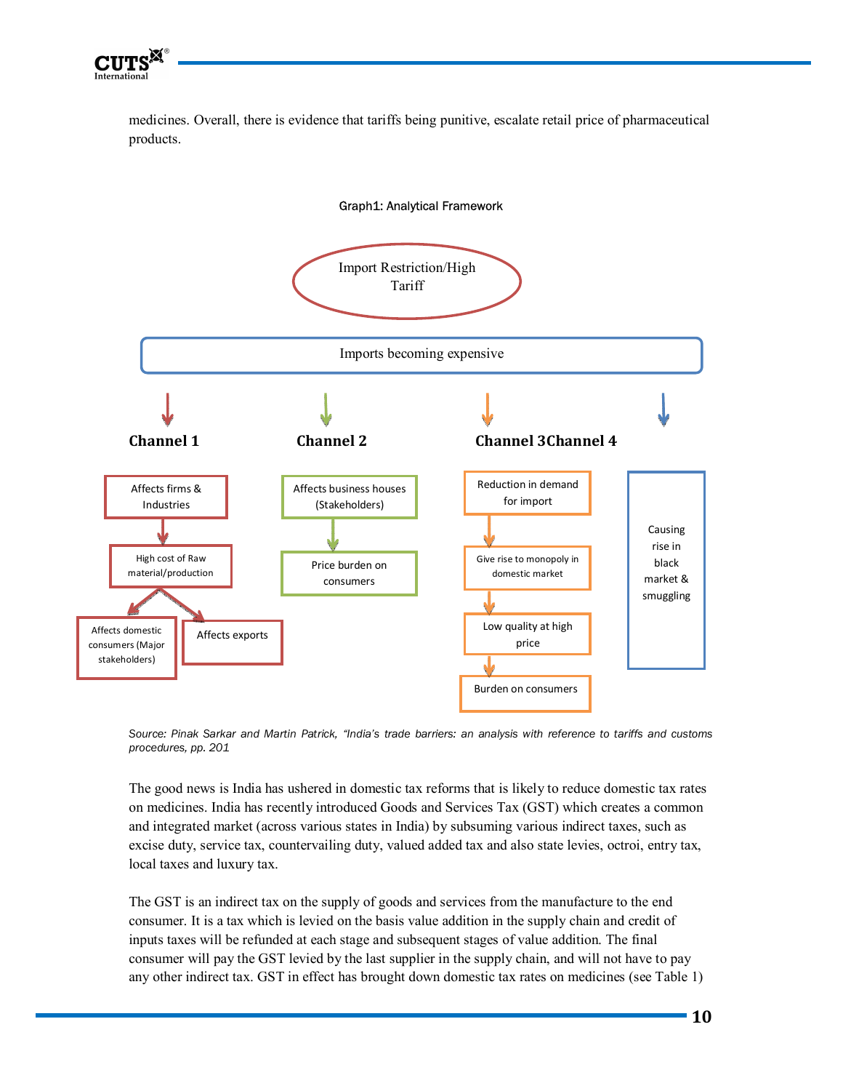

medicines. Overall, there is evidence that tariffs being punitive, escalate retail price of pharmaceutical products.



*Source: Pinak Sarkar and Martin Patrick, "India's trade barriers: an analysis with reference to tariffs and customs procedures, pp. 201* 

The good news is India has ushered in domestic tax reforms that is likely to reduce domestic tax rates on medicines. India has recently introduced Goods and Services Tax (GST) which creates a common and integrated market (across various states in India) by subsuming various indirect taxes, such as excise duty, service tax, countervailing duty, valued added tax and also state levies, octroi, entry tax, local taxes and luxury tax.

The GST is an indirect tax on the supply of goods and services from the manufacture to the end consumer. It is a tax which is levied on the basis value addition in the supply chain and credit of inputs taxes will be refunded at each stage and subsequent stages of value addition. The final consumer will pay the GST levied by the last supplier in the supply chain, and will not have to pay any other indirect tax. GST in effect has brought down domestic tax rates on medicines (see Table 1)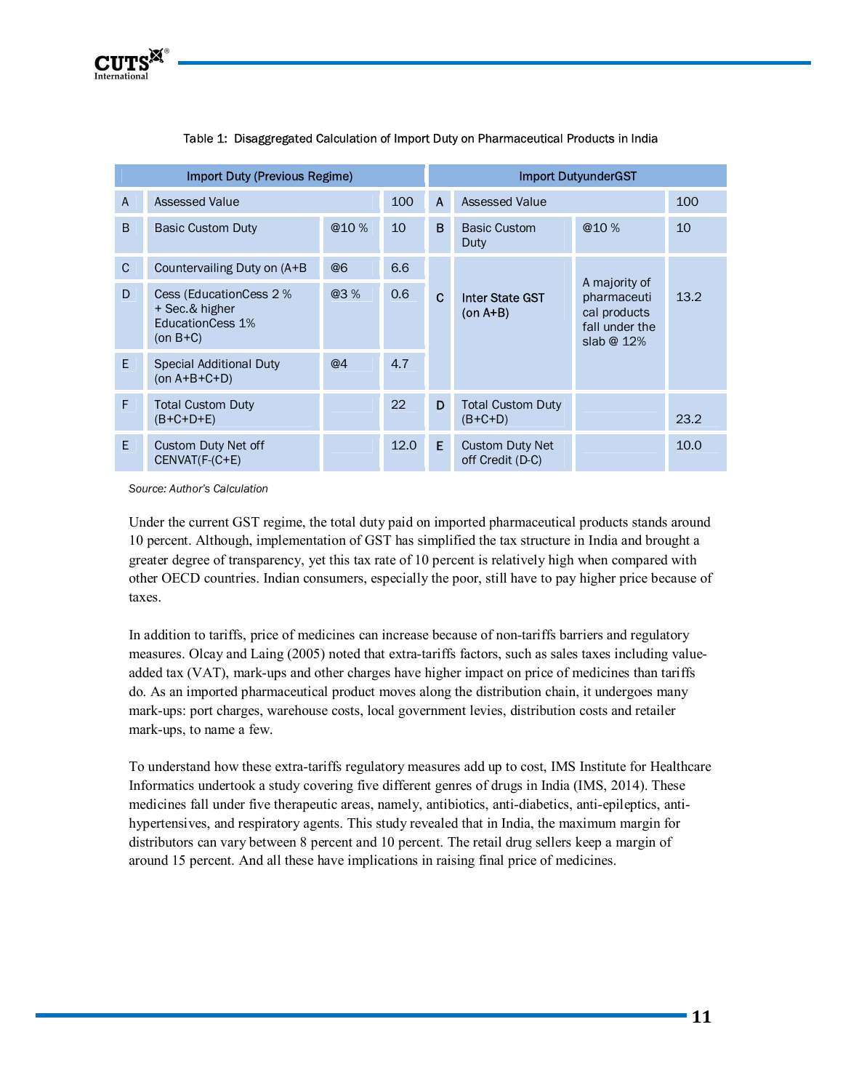

| Import Duty (Previous Regime) |                                                                                    |      |      |              | <b>Import DutyunderGST</b>                 |                                                                                |      |  |
|-------------------------------|------------------------------------------------------------------------------------|------|------|--------------|--------------------------------------------|--------------------------------------------------------------------------------|------|--|
| $\overline{A}$                | Assessed Value                                                                     |      | 100  | $\mathbf{A}$ | Assessed Value                             |                                                                                | 100  |  |
| B                             | <b>Basic Custom Duty</b>                                                           | @10% | 10   | B            | <b>Basic Custom</b><br>Duty                | @10%                                                                           | 10   |  |
| $\mathbf{C}$                  | Countervailing Duty on (A+B)                                                       | @6   | 6.6  |              | <b>Inter State GST</b><br>$(on A+B)$       | A majority of<br>pharmaceuti<br>cal products<br>fall under the<br>slab $@12\%$ |      |  |
| D                             | Cess (EducationCess 2 %<br>+ Sec.& higher<br><b>EducationCess 1%</b><br>$(on B+C)$ | @3%  | 0.6  | $\mathbf{C}$ |                                            |                                                                                | 13.2 |  |
| E.                            | <b>Special Additional Duty</b><br>$(on A+B+C+D)$                                   | @4   | 4.7  |              |                                            |                                                                                |      |  |
| F                             | <b>Total Custom Duty</b><br>$(B+C+D+E)$                                            |      | 22   | D            | <b>Total Custom Duty</b><br>$(B+C+D)$      |                                                                                | 23.2 |  |
| F.                            | <b>Custom Duty Net off</b><br>CENVAT(F-(C+E)                                       |      | 12.0 | E.           | <b>Custom Duty Net</b><br>off Credit (D-C) |                                                                                | 10.0 |  |

#### Table 1: Disaggregated Calculation of Import Duty on Pharmaceutical Products in India

*Source: Author's Calculation* 

Under the current GST regime, the total duty paid on imported pharmaceutical products stands around 10 percent. Although, implementation of GST has simplified the tax structure in India and brought a greater degree of transparency, yet this tax rate of 10 percent is relatively high when compared with other OECD countries. Indian consumers, especially the poor, still have to pay higher price because of taxes.

In addition to tariffs, price of medicines can increase because of non-tariffs barriers and regulatory measures. Olcay and Laing (2005) noted that extra-tariffs factors, such as sales taxes including valueadded tax (VAT), mark-ups and other charges have higher impact on price of medicines than tariffs do. As an imported pharmaceutical product moves along the distribution chain, it undergoes many mark-ups: port charges, warehouse costs, local government levies, distribution costs and retailer mark-ups, to name a few.

To understand how these extra-tariffs regulatory measures add up to cost, IMS Institute for Healthcare Informatics undertook a study covering five different genres of drugs in India (IMS, 2014). These medicines fall under five therapeutic areas, namely, antibiotics, anti-diabetics, anti-epileptics, antihypertensives, and respiratory agents. This study revealed that in India, the maximum margin for distributors can vary between 8 percent and 10 percent. The retail drug sellers keep a margin of around 15 percent. And all these have implications in raising final price of medicines.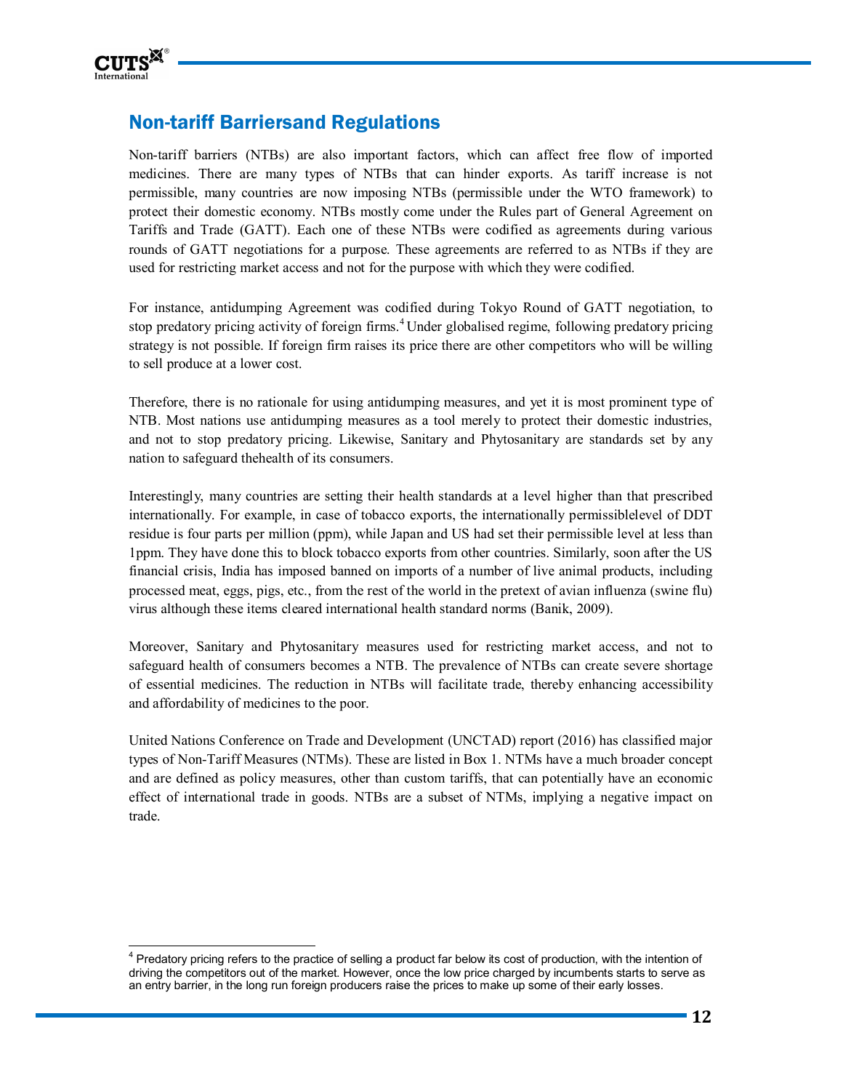

l,

# Non-tariff Barriersand Regulations

Non-tariff barriers (NTBs) are also important factors, which can affect free flow of imported medicines. There are many types of NTBs that can hinder exports. As tariff increase is not permissible, many countries are now imposing NTBs (permissible under the WTO framework) to protect their domestic economy. NTBs mostly come under the Rules part of General Agreement on Tariffs and Trade (GATT). Each one of these NTBs were codified as agreements during various rounds of GATT negotiations for a purpose. These agreements are referred to as NTBs if they are used for restricting market access and not for the purpose with which they were codified.

For instance, antidumping Agreement was codified during Tokyo Round of GATT negotiation, to stop predatory pricing activity of foreign firms.<sup>4</sup> Under globalised regime, following predatory pricing strategy is not possible. If foreign firm raises its price there are other competitors who will be willing to sell produce at a lower cost.

Therefore, there is no rationale for using antidumping measures, and yet it is most prominent type of NTB. Most nations use antidumping measures as a tool merely to protect their domestic industries, and not to stop predatory pricing. Likewise, Sanitary and Phytosanitary are standards set by any nation to safeguard thehealth of its consumers.

Interestingly, many countries are setting their health standards at a level higher than that prescribed internationally. For example, in case of tobacco exports, the internationally permissiblelevel of DDT residue is four parts per million (ppm), while Japan and US had set their permissible level at less than 1ppm. They have done this to block tobacco exports from other countries. Similarly, soon after the US financial crisis, India has imposed banned on imports of a number of live animal products, including processed meat, eggs, pigs, etc., from the rest of the world in the pretext of avian influenza (swine flu) virus although these items cleared international health standard norms (Banik, 2009).

Moreover, Sanitary and Phytosanitary measures used for restricting market access, and not to safeguard health of consumers becomes a NTB. The prevalence of NTBs can create severe shortage of essential medicines. The reduction in NTBs will facilitate trade, thereby enhancing accessibility and affordability of medicines to the poor.

United Nations Conference on Trade and Development (UNCTAD) report (2016) has classified major types of Non-Tariff Measures (NTMs). These are listed in Box 1. NTMs have a much broader concept and are defined as policy measures, other than custom tariffs, that can potentially have an economic effect of international trade in goods. NTBs are a subset of NTMs, implying a negative impact on trade.

<sup>&</sup>lt;sup>4</sup> Predatory pricing refers to the practice of selling a product far below its cost of production, with the intention of driving the competitors out of the market. However, once the low price charged by incumbents starts to serve as an entry barrier, in the long run foreign producers raise the prices to make up some of their early losses.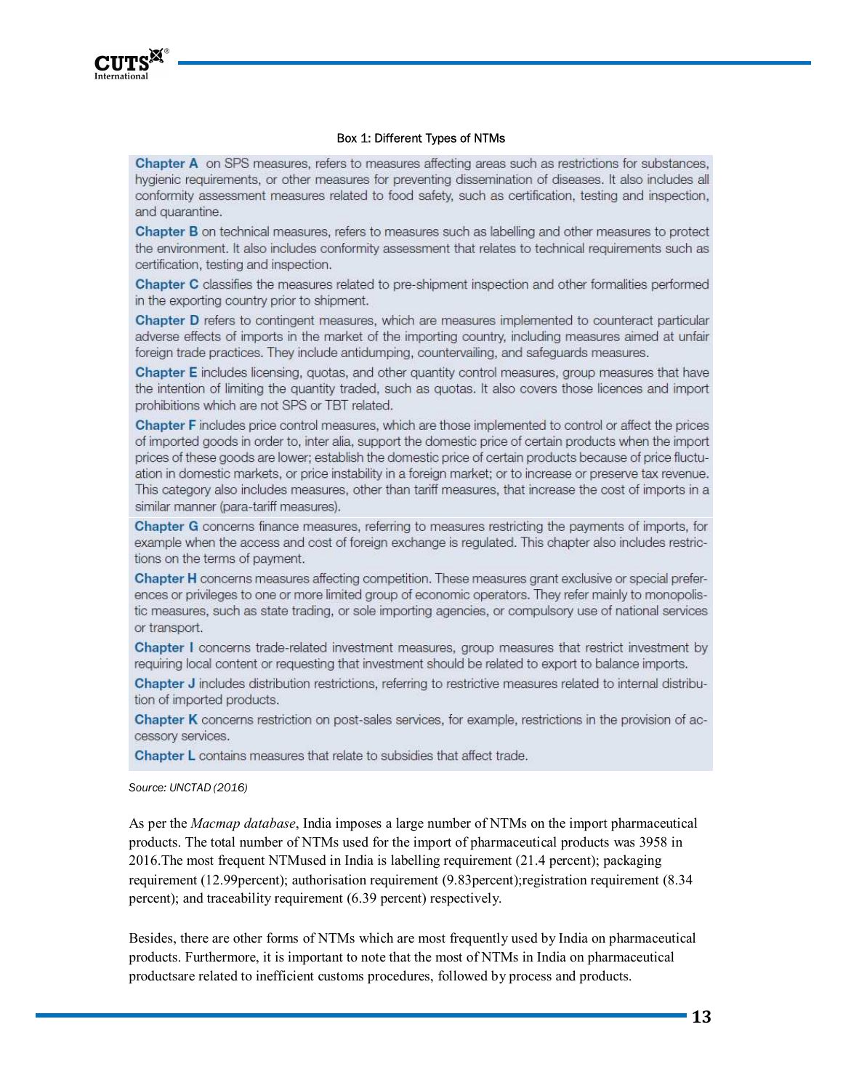

#### Box 1: Different Types of NTMs

**Chapter A** on SPS measures, refers to measures affecting areas such as restrictions for substances, hygienic requirements, or other measures for preventing dissemination of diseases. It also includes all conformity assessment measures related to food safety, such as certification, testing and inspection, and quarantine.

**Chapter B** on technical measures, refers to measures such as labelling and other measures to protect the environment. It also includes conformity assessment that relates to technical requirements such as certification, testing and inspection.

Chapter C classifies the measures related to pre-shipment inspection and other formalities performed in the exporting country prior to shipment.

Chapter D refers to contingent measures, which are measures implemented to counteract particular adverse effects of imports in the market of the importing country, including measures aimed at unfair foreign trade practices. They include antidumping, countervailing, and safeguards measures.

Chapter E includes licensing, quotas, and other quantity control measures, group measures that have the intention of limiting the quantity traded, such as quotas. It also covers those licences and import prohibitions which are not SPS or TBT related.

Chapter F includes price control measures, which are those implemented to control or affect the prices of imported goods in order to, inter alia, support the domestic price of certain products when the import prices of these goods are lower; establish the domestic price of certain products because of price fluctuation in domestic markets, or price instability in a foreign market; or to increase or preserve tax revenue. This category also includes measures, other than tariff measures, that increase the cost of imports in a similar manner (para-tariff measures).

Chapter G concerns finance measures, referring to measures restricting the payments of imports, for example when the access and cost of foreign exchange is regulated. This chapter also includes restrictions on the terms of payment.

Chapter H concerns measures affecting competition. These measures grant exclusive or special preferences or privileges to one or more limited group of economic operators. They refer mainly to monopolistic measures, such as state trading, or sole importing agencies, or compulsory use of national services or transport.

**Chapter I** concerns trade-related investment measures, group measures that restrict investment by requiring local content or requesting that investment should be related to export to balance imports.

Chapter J includes distribution restrictions, referring to restrictive measures related to internal distribution of imported products.

Chapter K concerns restriction on post-sales services, for example, restrictions in the provision of accessory services.

**Chapter L** contains measures that relate to subsidies that affect trade.

*Source: UNCTAD (2016)* 

As per the *Macmap database*, India imposes a large number of NTMs on the import pharmaceutical products. The total number of NTMs used for the import of pharmaceutical products was 3958 in 2016.The most frequent NTMused in India is labelling requirement (21.4 percent); packaging requirement (12.99percent); authorisation requirement (9.83percent);registration requirement (8.34 percent); and traceability requirement (6.39 percent) respectively.

Besides, there are other forms of NTMs which are most frequently used by India on pharmaceutical products. Furthermore, it is important to note that the most of NTMs in India on pharmaceutical productsare related to inefficient customs procedures, followed by process and products.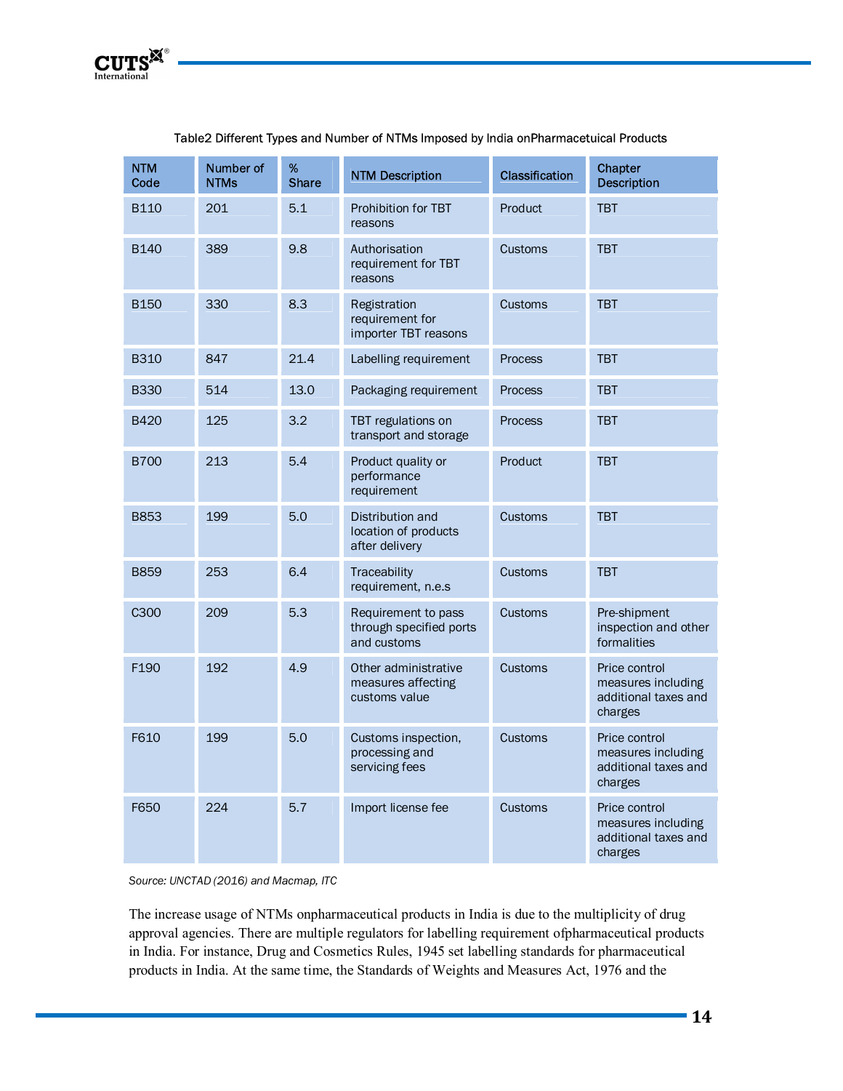| <b>NTM</b><br>Code | Number of<br><b>NTMs</b> | %<br><b>Share</b> | <b>NTM Description</b>                                        | <b>Classification</b> | Chapter<br><b>Description</b>                                          |
|--------------------|--------------------------|-------------------|---------------------------------------------------------------|-----------------------|------------------------------------------------------------------------|
| <b>B110</b>        | 201                      | 5.1               | Prohibition for TBT<br>reasons                                | Product               | <b>TBT</b>                                                             |
| <b>B140</b>        | 389                      | 9.8               | Authorisation<br>requirement for TBT<br>reasons               | Customs               | <b>TBT</b>                                                             |
| <b>B150</b>        | 330                      | 8.3               | Registration<br>requirement for<br>importer TBT reasons       | Customs               | <b>TBT</b>                                                             |
| <b>B310</b>        | 847                      | 21.4              | Labelling requirement                                         | Process               | <b>TBT</b>                                                             |
| <b>B330</b>        | 514                      | 13.0              | Packaging requirement                                         | <b>Process</b>        | <b>TBT</b>                                                             |
| <b>B420</b>        | 125                      | 3.2               | TBT regulations on<br>transport and storage                   | <b>Process</b>        | <b>TBT</b>                                                             |
| <b>B700</b>        | 213                      | 5.4               | Product quality or<br>performance<br>requirement              | Product               | <b>TBT</b>                                                             |
| <b>B853</b>        | 199                      | 5.0               | Distribution and<br>location of products<br>after delivery    | Customs               | <b>TBT</b>                                                             |
| <b>B859</b>        | 253                      | 6.4               | Traceability<br>requirement, n.e.s                            | Customs               | <b>TBT</b>                                                             |
| C300               | 209                      | 5.3               | Requirement to pass<br>through specified ports<br>and customs | Customs               | Pre-shipment<br>inspection and other<br>formalities                    |
| F190               | 192                      | 4.9               | Other administrative<br>measures affecting<br>customs value   | <b>Customs</b>        | Price control<br>measures including<br>additional taxes and<br>charges |
| F610               | 199                      | 5.0               | Customs inspection,<br>processing and<br>servicing fees       | Customs               | Price control<br>measures including<br>additional taxes and<br>charges |
| F650               | 224                      | 5.7               | Import license fee                                            | Customs               | Price control<br>measures including<br>additional taxes and<br>charges |

#### Table2 Different Types and Number of NTMs Imposed by India onPharmacetuical Products

*Source: UNCTAD (2016) and Macmap, ITC* 

The increase usage of NTMs onpharmaceutical products in India is due to the multiplicity of drug approval agencies. There are multiple regulators for labelling requirement ofpharmaceutical products in India. For instance, Drug and Cosmetics Rules, 1945 set labelling standards for pharmaceutical products in India. At the same time, the Standards of Weights and Measures Act, 1976 and the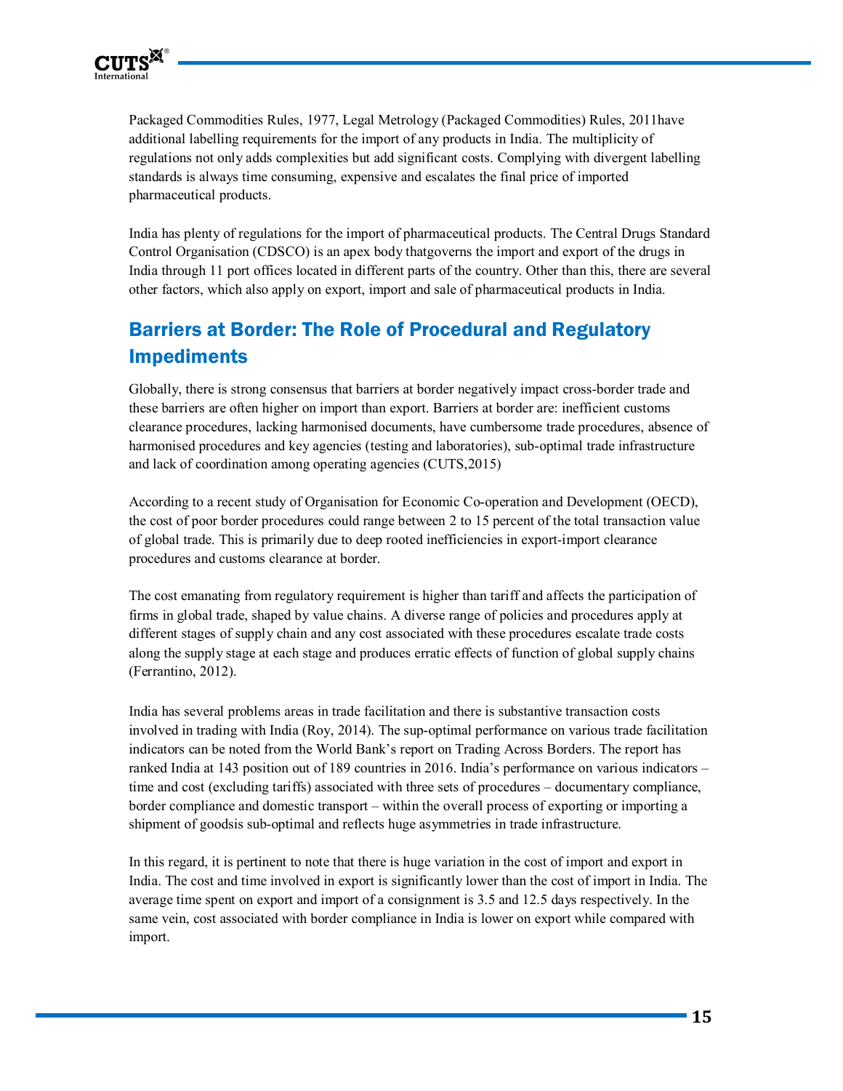

Packaged Commodities Rules, 1977, Legal Metrology (Packaged Commodities) Rules, 2011have additional labelling requirements for the import of any products in India. The multiplicity of regulations not only adds complexities but add significant costs. Complying with divergent labelling standards is always time consuming, expensive and escalates the final price of imported pharmaceutical products.

India has plenty of regulations for the import of pharmaceutical products. The Central Drugs Standard Control Organisation (CDSCO) is an apex body thatgoverns the import and export of the drugs in India through 11 port offices located in different parts of the country. Other than this, there are several other factors, which also apply on export, import and sale of pharmaceutical products in India.

# Barriers at Border: The Role of Procedural and Regulatory Impediments

Globally, there is strong consensus that barriers at border negatively impact cross-border trade and these barriers are often higher on import than export. Barriers at border are: inefficient customs clearance procedures, lacking harmonised documents, have cumbersome trade procedures, absence of harmonised procedures and key agencies (testing and laboratories), sub-optimal trade infrastructure and lack of coordination among operating agencies (CUTS,2015)

According to a recent study of Organisation for Economic Co-operation and Development (OECD), the cost of poor border procedures could range between 2 to 15 percent of the total transaction value of global trade. This is primarily due to deep rooted inefficiencies in export-import clearance procedures and customs clearance at border.

The cost emanating from regulatory requirement is higher than tariff and affects the participation of firms in global trade, shaped by value chains. A diverse range of policies and procedures apply at different stages of supply chain and any cost associated with these procedures escalate trade costs along the supply stage at each stage and produces erratic effects of function of global supply chains (Ferrantino, 2012).

India has several problems areas in trade facilitation and there is substantive transaction costs involved in trading with India (Roy, 2014). The sup-optimal performance on various trade facilitation indicators can be noted from the World Bank's report on Trading Across Borders. The report has ranked India at 143 position out of 189 countries in 2016. India's performance on various indicators – time and cost (excluding tariffs) associated with three sets of procedures – documentary compliance, border compliance and domestic transport – within the overall process of exporting or importing a shipment of goodsis sub-optimal and reflects huge asymmetries in trade infrastructure.

In this regard, it is pertinent to note that there is huge variation in the cost of import and export in India. The cost and time involved in export is significantly lower than the cost of import in India. The average time spent on export and import of a consignment is 3.5 and 12.5 days respectively. In the same vein, cost associated with border compliance in India is lower on export while compared with import.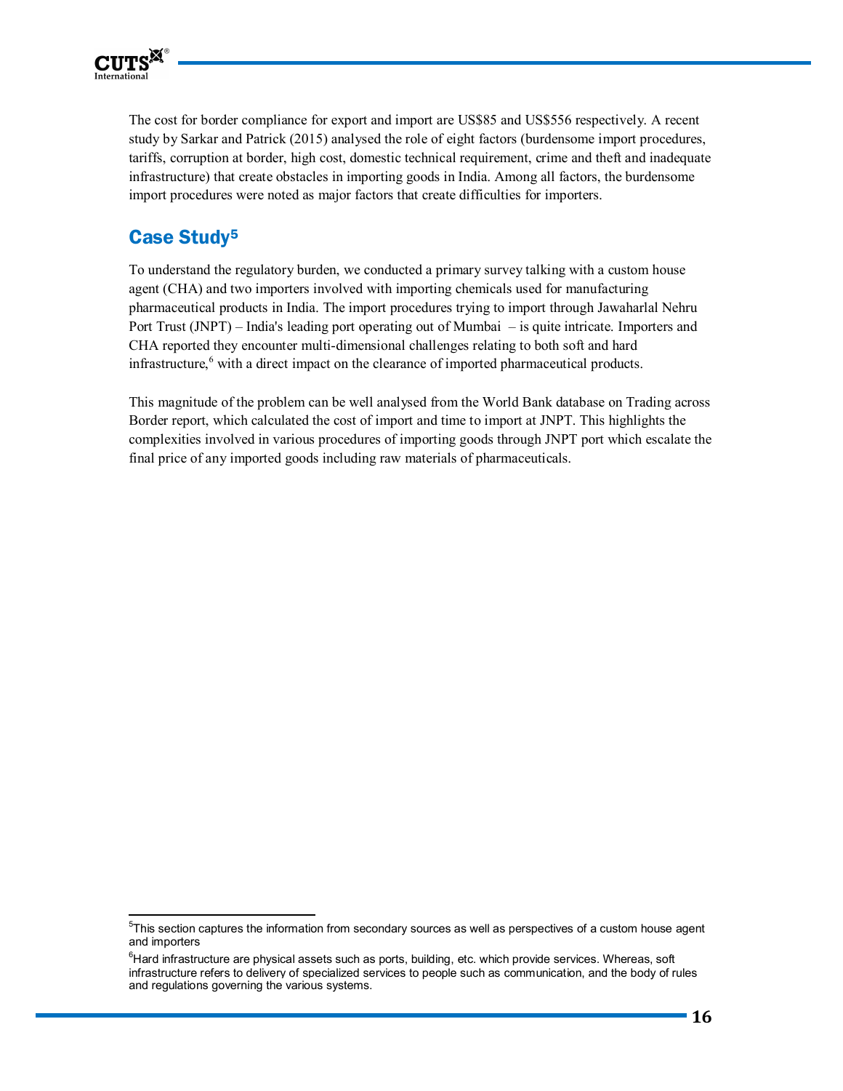

l,

The cost for border compliance for export and import are US\$85 and US\$556 respectively. A recent study by Sarkar and Patrick (2015) analysed the role of eight factors (burdensome import procedures, tariffs, corruption at border, high cost, domestic technical requirement, crime and theft and inadequate infrastructure) that create obstacles in importing goods in India. Among all factors, the burdensome import procedures were noted as major factors that create difficulties for importers.

## **Case Study<sup>5</sup>**

To understand the regulatory burden, we conducted a primary survey talking with a custom house agent (CHA) and two importers involved with importing chemicals used for manufacturing pharmaceutical products in India. The import procedures trying to import through Jawaharlal Nehru Port Trust (JNPT) – India's leading port operating out of Mumbai – is quite intricate. Importers and CHA reported they encounter multi-dimensional challenges relating to both soft and hard infrastructure,<sup>6</sup> with a direct impact on the clearance of imported pharmaceutical products.

This magnitude of the problem can be well analysed from the World Bank database on Trading across Border report, which calculated the cost of import and time to import at JNPT. This highlights the complexities involved in various procedures of importing goods through JNPT port which escalate the final price of any imported goods including raw materials of pharmaceuticals.

<sup>&</sup>lt;sup>5</sup>This section captures the information from secondary sources as well as perspectives of a custom house agent and importers

 ${}^{6}$ Hard infrastructure are physical assets such as ports, building, etc. which provide services. Whereas, soft infrastructure refers to delivery of specialized services to people such as communication, and the body of rules and regulations governing the various systems.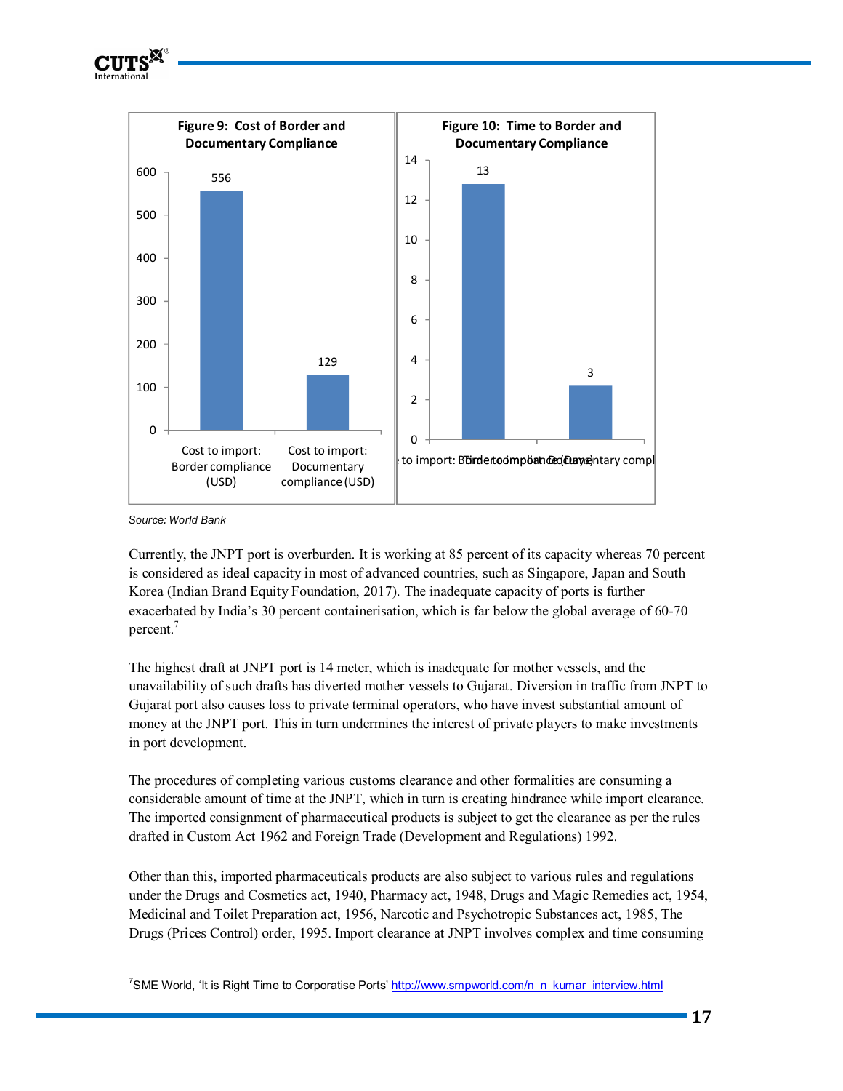

*Source: World Bank* 

Currently, the JNPT port is overburden. It is working at 85 percent of its capacity whereas 70 percent is considered as ideal capacity in most of advanced countries, such as Singapore, Japan and South Korea (Indian Brand Equity Foundation, 2017). The inadequate capacity of ports is further exacerbated by India's 30 percent containerisation, which is far below the global average of 60-70 percent.<sup>7</sup>

The highest draft at JNPT port is 14 meter, which is inadequate for mother vessels, and the unavailability of such drafts has diverted mother vessels to Gujarat. Diversion in traffic from JNPT to Gujarat port also causes loss to private terminal operators, who have invest substantial amount of money at the JNPT port. This in turn undermines the interest of private players to make investments in port development.

The procedures of completing various customs clearance and other formalities are consuming a considerable amount of time at the JNPT, which in turn is creating hindrance while import clearance. The imported consignment of pharmaceutical products is subject to get the clearance as per the rules drafted in Custom Act 1962 and Foreign Trade (Development and Regulations) 1992.

Other than this, imported pharmaceuticals products are also subject to various rules and regulations under the Drugs and Cosmetics act, 1940, Pharmacy act, 1948, Drugs and Magic Remedies act, 1954, Medicinal and Toilet Preparation act, 1956, Narcotic and Psychotropic Substances act, 1985, The Drugs (Prices Control) order, 1995. Import clearance at JNPT involves complex and time consuming

<sup>1</sup> <sup>7</sup>SME World, 'It is Right Time to Corporatise Ports' http://www.smpworld.com/n\_n\_kumar\_interview.html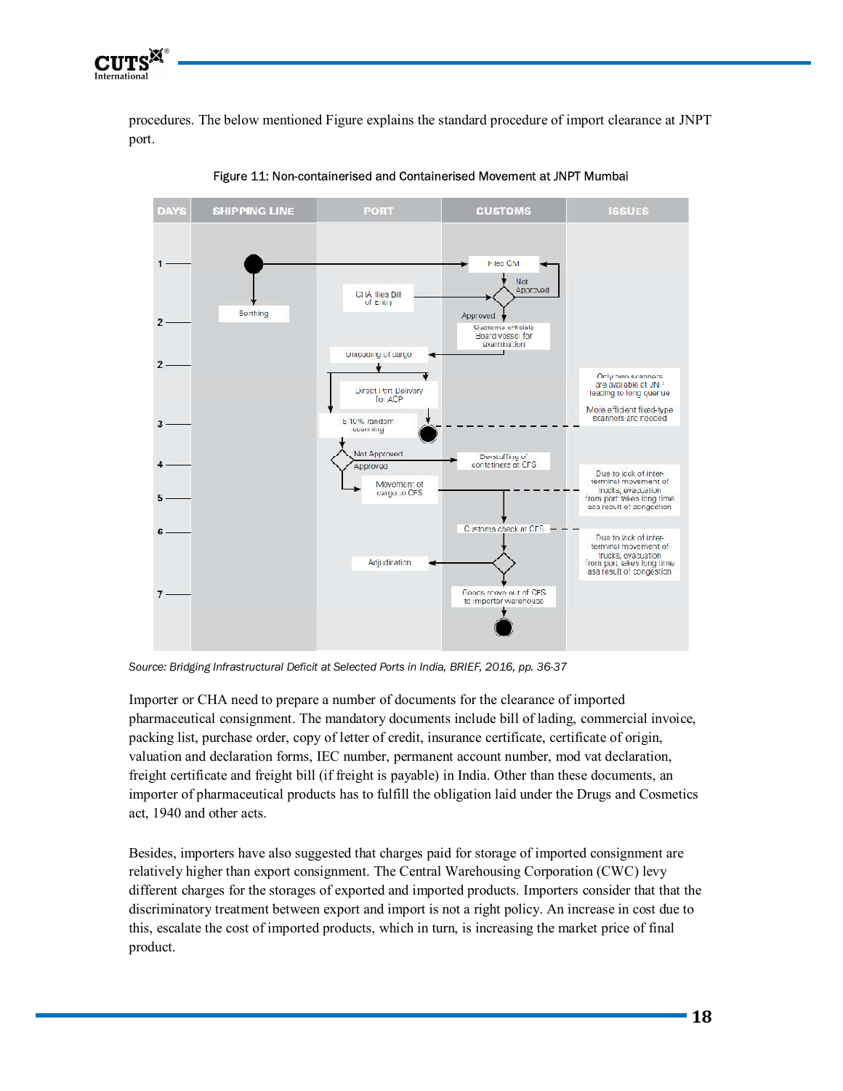

procedures. The below mentioned Figure explains the standard procedure of import clearance at JNPT port.



Figure 11: Non-containerised and Containerised Movement at JNPT Mumbai

*Source: Bridging Infrastructural Deficit at Selected Ports in India, BRIEF, 2016, pp. 36-37* 

Importer or CHA need to prepare a number of documents for the clearance of imported pharmaceutical consignment. The mandatory documents include bill of lading, commercial invoice, packing list, purchase order, copy of letter of credit, insurance certificate, certificate of origin, valuation and declaration forms, IEC number, permanent account number, mod vat declaration, freight certificate and freight bill (if freight is payable) in India. Other than these documents, an importer of pharmaceutical products has to fulfill the obligation laid under the Drugs and Cosmetics act, 1940 and other acts.

Besides, importers have also suggested that charges paid for storage of imported consignment are relatively higher than export consignment. The Central Warehousing Corporation (CWC) levy different charges for the storages of exported and imported products. Importers consider that that the discriminatory treatment between export and import is not a right policy. An increase in cost due to this, escalate the cost of imported products, which in turn, is increasing the market price of final product.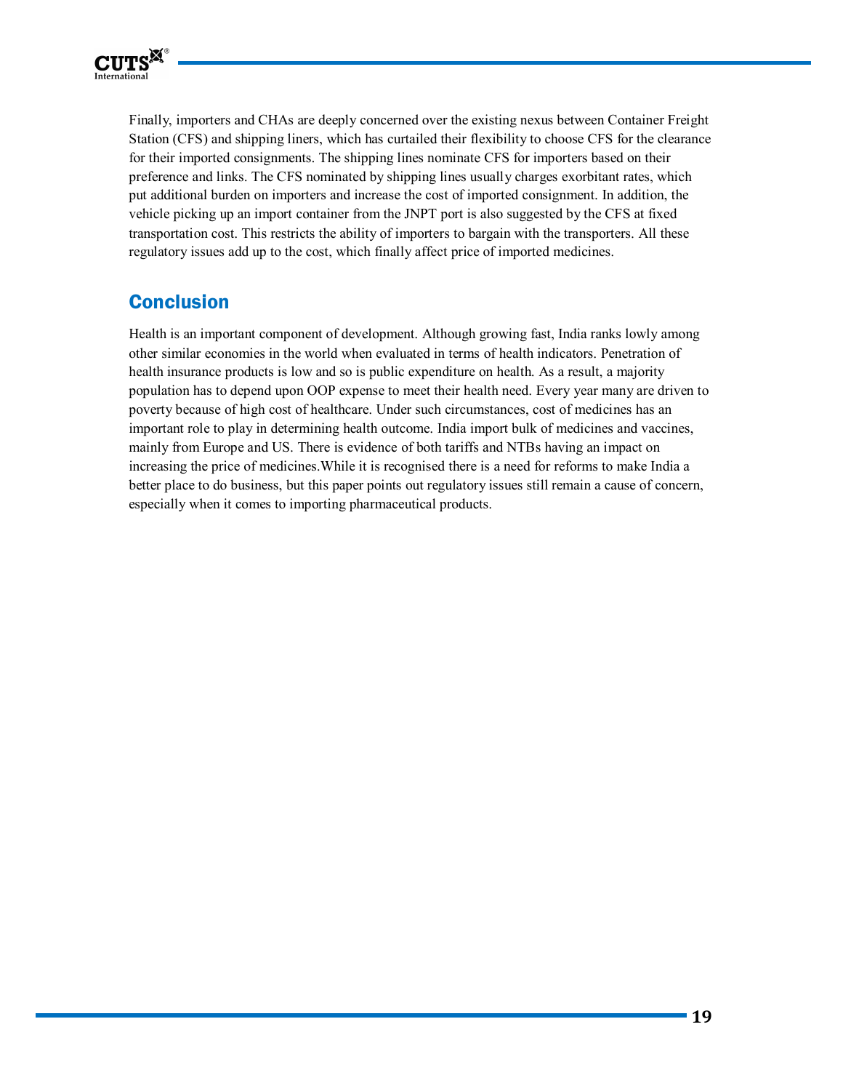

Finally, importers and CHAs are deeply concerned over the existing nexus between Container Freight Station (CFS) and shipping liners, which has curtailed their flexibility to choose CFS for the clearance for their imported consignments. The shipping lines nominate CFS for importers based on their preference and links. The CFS nominated by shipping lines usually charges exorbitant rates, which put additional burden on importers and increase the cost of imported consignment. In addition, the vehicle picking up an import container from the JNPT port is also suggested by the CFS at fixed transportation cost. This restricts the ability of importers to bargain with the transporters. All these regulatory issues add up to the cost, which finally affect price of imported medicines.

# **Conclusion**

Health is an important component of development. Although growing fast, India ranks lowly among other similar economies in the world when evaluated in terms of health indicators. Penetration of health insurance products is low and so is public expenditure on health. As a result, a majority population has to depend upon OOP expense to meet their health need. Every year many are driven to poverty because of high cost of healthcare. Under such circumstances, cost of medicines has an important role to play in determining health outcome. India import bulk of medicines and vaccines, mainly from Europe and US. There is evidence of both tariffs and NTBs having an impact on increasing the price of medicines.While it is recognised there is a need for reforms to make India a better place to do business, but this paper points out regulatory issues still remain a cause of concern, especially when it comes to importing pharmaceutical products.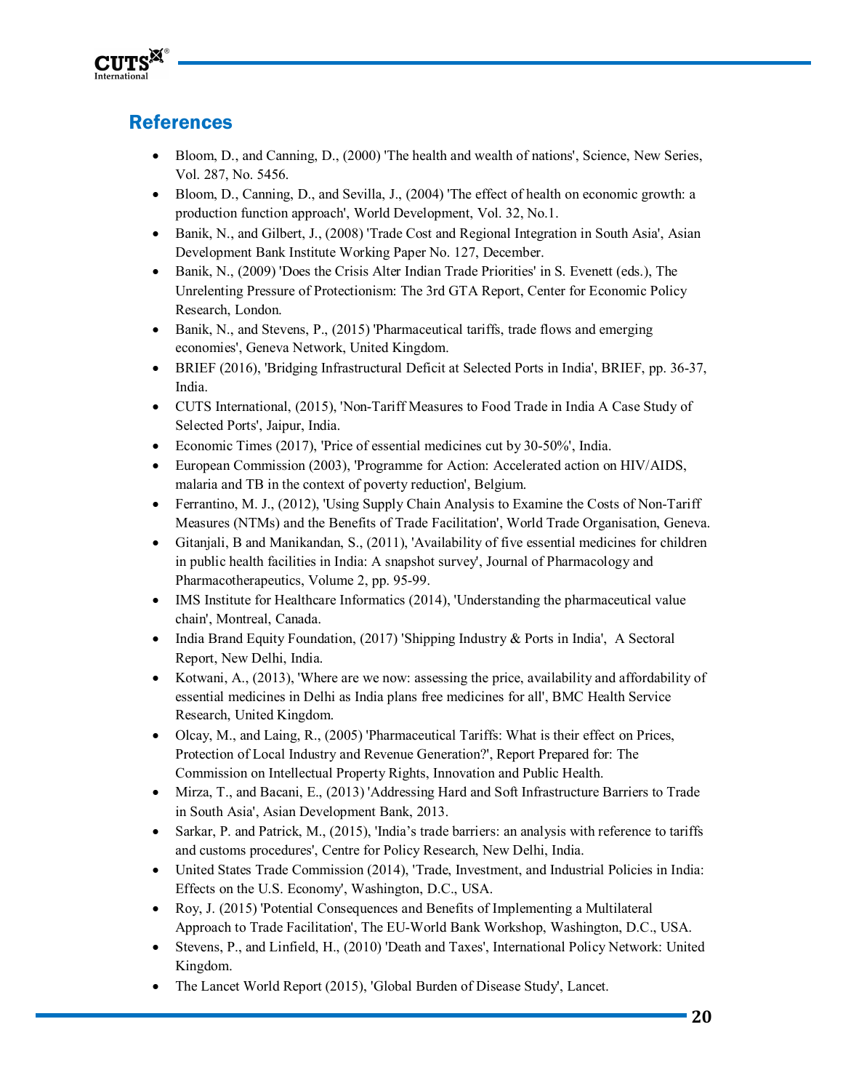

# **References**

- Bloom, D., and Canning, D., (2000) 'The health and wealth of nations', Science, New Series, Vol. 287, No. 5456.
- Bloom, D., Canning, D., and Sevilla, J., (2004) The effect of health on economic growth: a production function approach', World Development, Vol. 32, No.1.
- Banik, N., and Gilbert, J., (2008) 'Trade Cost and Regional Integration in South Asia', Asian Development Bank Institute Working Paper No. 127, December.
- Banik, N., (2009) 'Does the Crisis Alter Indian Trade Priorities' in S. Evenett (eds.), The Unrelenting Pressure of Protectionism: The 3rd GTA Report, Center for Economic Policy Research, London.
- Banik, N., and Stevens, P., (2015) 'Pharmaceutical tariffs, trade flows and emerging economies', Geneva Network, United Kingdom.
- BRIEF (2016), 'Bridging Infrastructural Deficit at Selected Ports in India', BRIEF, pp. 36-37, India.
- CUTS International, (2015), 'Non-Tariff Measures to Food Trade in India A Case Study of Selected Ports', Jaipur, India.
- Economic Times (2017), 'Price of essential medicines cut by 30-50%', India.
- European Commission (2003), 'Programme for Action: Accelerated action on HIV/AIDS, malaria and TB in the context of poverty reduction', Belgium.
- Ferrantino, M. J., (2012), 'Using Supply Chain Analysis to Examine the Costs of Non-Tariff Measures (NTMs) and the Benefits of Trade Facilitation', World Trade Organisation, Geneva.
- Gitanjali, B and Manikandan, S., (2011), 'Availability of five essential medicines for children in public health facilities in India: A snapshot survey', Journal of Pharmacology and Pharmacotherapeutics, Volume 2, pp. 95-99.
- IMS Institute for Healthcare Informatics (2014), 'Understanding the pharmaceutical value chain', Montreal, Canada.
- India Brand Equity Foundation, (2017) 'Shipping Industry & Ports in India', A Sectoral Report, New Delhi, India.
- Kotwani, A., (2013), 'Where are we now: assessing the price, availability and affordability of essential medicines in Delhi as India plans free medicines for all', BMC Health Service Research, United Kingdom.
- Olcay, M., and Laing, R., (2005) 'Pharmaceutical Tariffs: What is their effect on Prices, Protection of Local Industry and Revenue Generation?', Report Prepared for: The Commission on Intellectual Property Rights, Innovation and Public Health.
- Mirza, T., and Bacani, E., (2013) 'Addressing Hard and Soft Infrastructure Barriers to Trade in South Asia', Asian Development Bank, 2013.
- Sarkar, P. and Patrick, M., (2015), 'India's trade barriers: an analysis with reference to tariffs and customs procedures', Centre for Policy Research, New Delhi, India.
- United States Trade Commission (2014), 'Trade, Investment, and Industrial Policies in India: Effects on the U.S. Economy', Washington, D.C., USA.
- Roy, J. (2015) 'Potential Consequences and Benefits of Implementing a Multilateral Approach to Trade Facilitation', The EU-World Bank Workshop, Washington, D.C., USA.
- Stevens, P., and Linfield, H., (2010) 'Death and Taxes', International Policy Network: United Kingdom.
- The Lancet World Report (2015), 'Global Burden of Disease Study', Lancet.